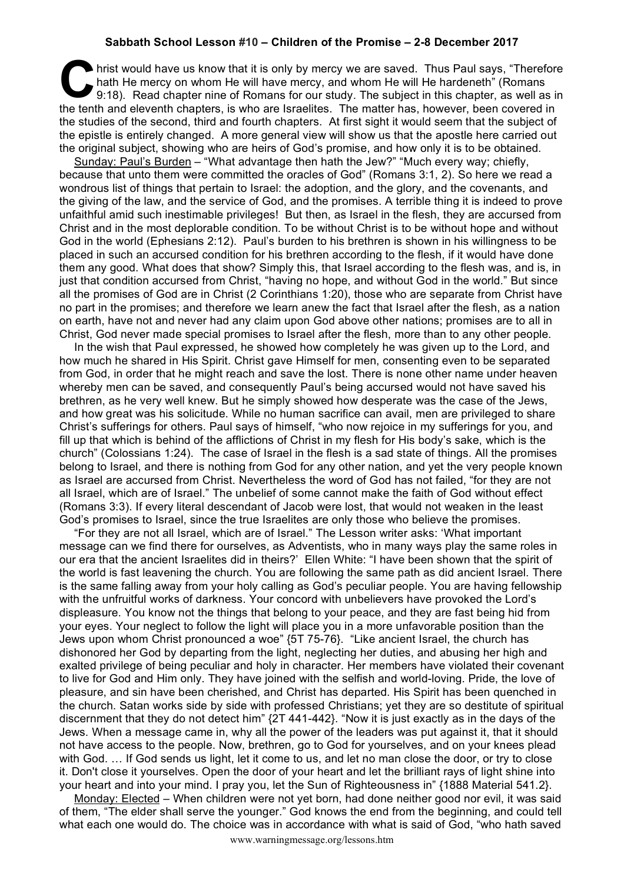## **Sabbath School Lesson #10 – Children of the Promise – 2-8 December 2017**

hrist would have us know that it is only by mercy we are saved. Thus Paul says, "Therefore hath He mercy on whom He will have mercy, and whom He will He hardeneth" (Romans 9:18). Read chapter nine of Romans for our study. hath He mercy on whom He will have mercy, and whom He will He hardeneth" (Romans 9:18). Read chapter nine of Romans for our study. The subject in this chapter, as well as in the tenth and eleventh chapters, is who are Israelites. The matter has, however, been covered in the studies of the second, third and fourth chapters. At first sight it would seem that the subject of the epistle is entirely changed. A more general view will show us that the apostle here carried out the original subject, showing who are heirs of God's promise, and how only it is to be obtained.

Sunday: Paul's Burden – "What advantage then hath the Jew?" "Much every way; chiefly, because that unto them were committed the oracles of God" (Romans 3:1, 2). So here we read a wondrous list of things that pertain to Israel: the adoption, and the glory, and the covenants, and the giving of the law, and the service of God, and the promises. A terrible thing it is indeed to prove unfaithful amid such inestimable privileges! But then, as Israel in the flesh, they are accursed from Christ and in the most deplorable condition. To be without Christ is to be without hope and without God in the world (Ephesians 2:12). Paul's burden to his brethren is shown in his willingness to be placed in such an accursed condition for his brethren according to the flesh, if it would have done them any good. What does that show? Simply this, that Israel according to the flesh was, and is, in just that condition accursed from Christ, "having no hope, and without God in the world." But since all the promises of God are in Christ (2 Corinthians 1:20), those who are separate from Christ have no part in the promises; and therefore we learn anew the fact that Israel after the flesh, as a nation on earth, have not and never had any claim upon God above other nations; promises are to all in Christ, God never made special promises to Israel after the flesh, more than to any other people.

In the wish that Paul expressed, he showed how completely he was given up to the Lord, and how much he shared in His Spirit. Christ gave Himself for men, consenting even to be separated from God, in order that he might reach and save the lost. There is none other name under heaven whereby men can be saved, and consequently Paul's being accursed would not have saved his brethren, as he very well knew. But he simply showed how desperate was the case of the Jews, and how great was his solicitude. While no human sacrifice can avail, men are privileged to share Christ's sufferings for others. Paul says of himself, "who now rejoice in my sufferings for you, and fill up that which is behind of the afflictions of Christ in my flesh for His body's sake, which is the church" (Colossians 1:24). The case of Israel in the flesh is a sad state of things. All the promises belong to Israel, and there is nothing from God for any other nation, and yet the very people known as Israel are accursed from Christ. Nevertheless the word of God has not failed, "for they are not all Israel, which are of Israel." The unbelief of some cannot make the faith of God without effect (Romans 3:3). If every literal descendant of Jacob were lost, that would not weaken in the least God's promises to Israel, since the true Israelites are only those who believe the promises.

"For they are not all Israel, which are of Israel." The Lesson writer asks: 'What important message can we find there for ourselves, as Adventists, who in many ways play the same roles in our era that the ancient Israelites did in theirs?' Ellen White: "I have been shown that the spirit of the world is fast leavening the church. You are following the same path as did ancient Israel. There is the same falling away from your holy calling as God's peculiar people. You are having fellowship with the unfruitful works of darkness. Your concord with unbelievers have provoked the Lord's displeasure. You know not the things that belong to your peace, and they are fast being hid from your eyes. Your neglect to follow the light will place you in a more unfavorable position than the Jews upon whom Christ pronounced a woe" {5T 75-76}. "Like ancient Israel, the church has dishonored her God by departing from the light, neglecting her duties, and abusing her high and exalted privilege of being peculiar and holy in character. Her members have violated their covenant to live for God and Him only. They have joined with the selfish and world-loving. Pride, the love of pleasure, and sin have been cherished, and Christ has departed. His Spirit has been quenched in the church. Satan works side by side with professed Christians; yet they are so destitute of spiritual discernment that they do not detect him" {2T 441-442}. "Now it is just exactly as in the days of the Jews. When a message came in, why all the power of the leaders was put against it, that it should not have access to the people. Now, brethren, go to God for yourselves, and on your knees plead with God. ... If God sends us light, let it come to us, and let no man close the door, or try to close it. Don't close it yourselves. Open the door of your heart and let the brilliant rays of light shine into your heart and into your mind. I pray you, let the Sun of Righteousness in" {1888 Material 541.2}.

Monday: Elected – When children were not yet born, had done neither good nor evil, it was said of them, "The elder shall serve the younger." God knows the end from the beginning, and could tell what each one would do. The choice was in accordance with what is said of God, "who hath saved